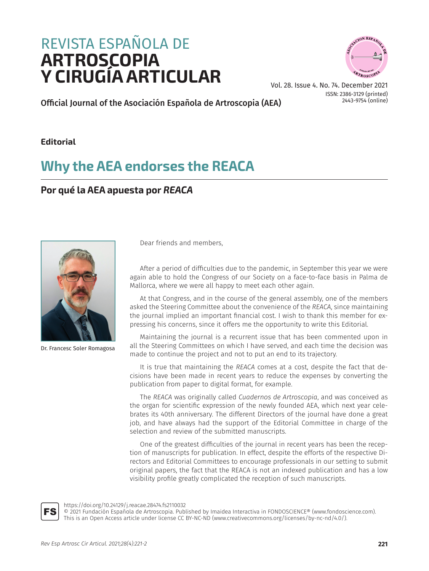# REVISTA ESPAÑOLA DE<br>**ARTROSCOPIA ARTROSCOPIA Y CIRUGÍA ARTICULAR**



Vol. 28. Issue 4. No. 74. December 2021 ISSN: 2386-3129 (printed) 2443-9754 (online)

Official Journal of the Asociación Española de Artroscopia (AEA)

### **Editorial**

## **Why the AEA endorses the REACA**

### **Por qué la AEA apuesta por** *REACA*



Dr. Francesc Soler Romagosa

Dear friends and members,

After a period of difficulties due to the pandemic, in September this year we were again able to hold the Congress of our Society on a face-to-face basis in Palma de Mallorca, where we were all happy to meet each other again.

At that Congress, and in the course of the general assembly, one of the members asked the Steering Committee about the convenience of the *REACA*, since maintaining the journal implied an important financial cost. I wish to thank this member for expressing his concerns, since it offers me the opportunity to write this Editorial.

Maintaining the journal is a recurrent issue that has been commented upon in all the Steering Committees on which I have served, and each time the decision was made to continue the project and not to put an end to its trajectory.

It is true that maintaining the *REACA* comes at a cost, despite the fact that decisions have been made in recent years to reduce the expenses by converting the publication from paper to digital format, for example.

The *REACA* was originally called *Cuadernos de Artroscopia*, and was conceived as the organ for scientific expression of the newly founded AEA, which next year celebrates its 40th anniversary. The different Directors of the journal have done a great job, and have always had the support of the Editorial Committee in charge of the selection and review of the submitted manuscripts.

One of the greatest difficulties of the journal in recent years has been the reception of manuscripts for publication. In effect, despite the efforts of the respective Directors and Editorial Committees to encourage professionals in our setting to submit original papers, the fact that the REACA is not an indexed publication and has a low visibility profile greatly complicated the reception of such manuscripts.



[https://doi.org/10.24129/j.reacae.28474.fs2](https://doi.org/10.24129/j.reacae.28474.fs2110032)110032

© 2021 Fundación Española de Artroscopia. Published by Imaidea Interactiva in FONDOSCIENCE® (<www.fondoscience.com>). This is an Open Access article under license CC BY-NC-ND (www[.creativecommons.org/licenses/by-nc-nd/4.0/](www.creativecommons.org/licenses/by-nc-nd/4.0/)).